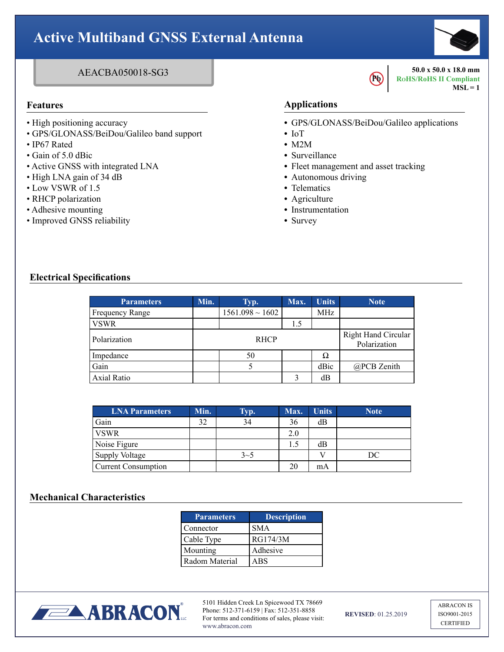# **Active Multiband GNSS External Antenna**



- High positioning accuracy
- GPS/GLONASS/BeiDou/Galileo band support
- IP67 Rated
- Gain of 5.0 dBic
- Active GNSS with integrated LNA
- High LNA gain of 34 dB
- Low VSWR of 1.5
- RHCP polarization
- Adhesive mounting
- Improved GNSS reliability

## **Features Applications**

**•** GPS/GLONASS/BeiDou/Galileo applications

**Pb** 

- **•** IoT
- **•** M2M
- **•** Surveillance
- **•** Fleet management and asset tracking
- **•** Autonomous driving
- **•** Telematics
- **•** Agriculture
- **•** Instrumentation
- **•** Survey

### **Electrical Specifications**

| <b>Parameters</b> | Min.        | Typ.                 | Max. | <b>Units</b>                        | <b>Note</b> |
|-------------------|-------------|----------------------|------|-------------------------------------|-------------|
| Frequency Range   |             | $1561.098 \sim 1602$ |      | MHz                                 |             |
| <b>VSWR</b>       |             |                      | 1.5  |                                     |             |
| Polarization      | <b>RHCP</b> |                      |      | Right Hand Circular<br>Polarization |             |
| Impedance         |             | 50                   |      | Ω                                   |             |
| Gain              |             |                      |      | dBic                                | @PCB Zenith |
| Axial Ratio       |             |                      |      | dB                                  |             |

| <b>LNA Parameters</b>      | Min. | Typ.    | Max. | <b>Units</b> | <b>Note</b> |
|----------------------------|------|---------|------|--------------|-------------|
| Gain                       | 32   | 34      | 36   | dB           |             |
| <b>VSWR</b>                |      |         | 2.0  |              |             |
| Noise Figure               |      |         | 1.5  | dB           |             |
| Supply Voltage             |      | $3 - 5$ |      |              | DС          |
| <b>Current Consumption</b> |      |         | 20   | mA           |             |

### **Mechanical Characteristics**

| <b>Parameters</b> | <b>Description</b> |
|-------------------|--------------------|
| Connector         | <b>SMA</b>         |
| Cable Type        | RG174/3M           |
| Mounting          | Adhesive           |
| Radom Material    | ABS                |



5101 Hidden Creek Ln Spicewood TX 78669 Phone: 512-371-6159 | Fax: 512-351-8858 For terms and conditions of sales, please visit: www.abracon.com

**REVISED**: 01.25.2019

ABRACON IS ISO9001-2015 CERTIFIED



 $MSL = 1$ 

**50.0 x 50.0 x 18.0 mm RoHS/RoHS II Compliant**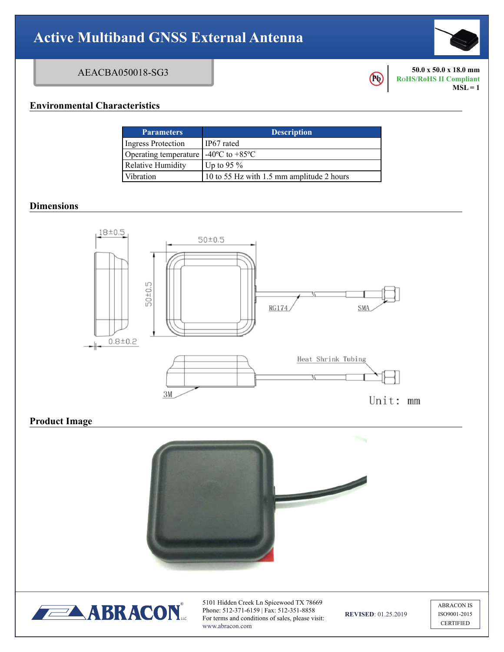# **Active Multiband GNSS External Antenna**

## AEACBA050018-SG3

**Environmental Characteristics** 

| <b>Parameters</b>        | <b>Description</b>                        |
|--------------------------|-------------------------------------------|
| Ingress Protection       | IP67 rated                                |
| Operating temperature    | $-40^{\circ}$ C to $+85^{\circ}$ C        |
| <b>Relative Humidity</b> | Up to 95 $\%$                             |
| Vibration                | 10 to 55 Hz with 1.5 mm amplitude 2 hours |

### **Dimensions**



# **Product Image**





**Pb** 

 $MSL = 1$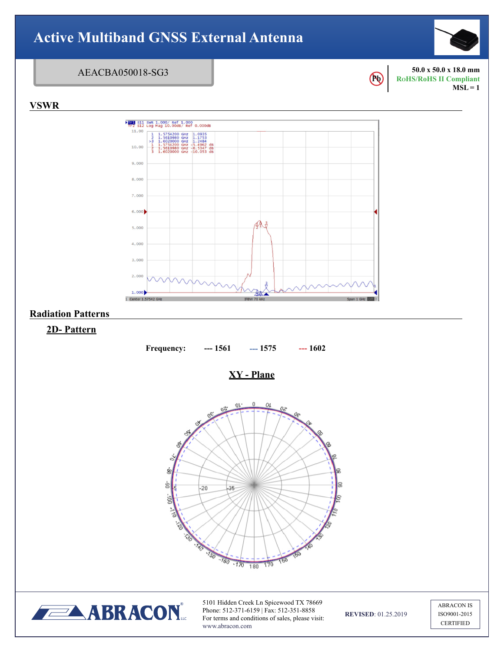